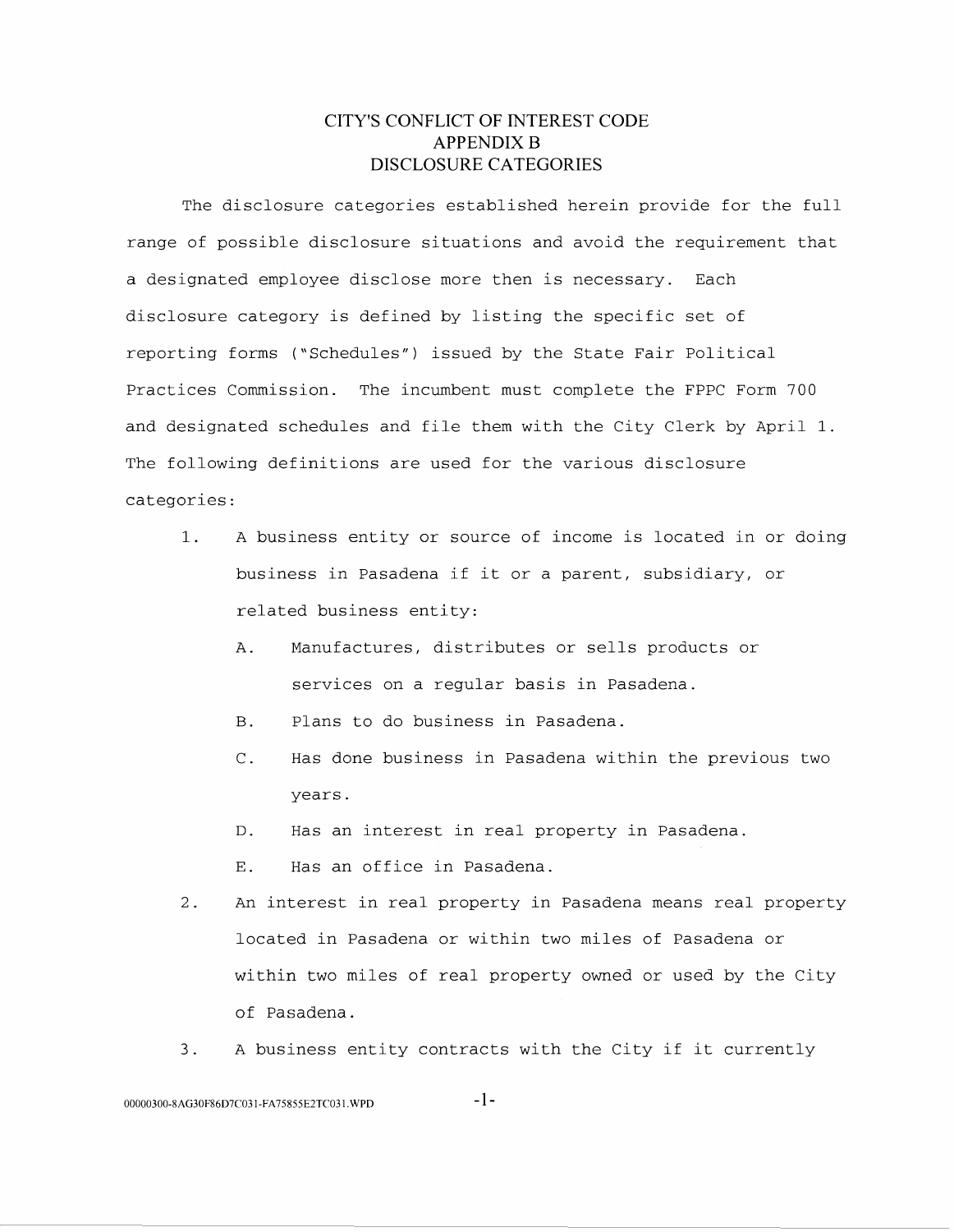# **CITY'S CONFLICT OF INTEREST CODE APPENDIX B DISCLOSURE CATEGORIES**

The disclosure categories established herein provide for the full range of possible disclosure situations and avoid the requirement that a designated employee disclose more then is necessary. Each disclosure category is defined by listing the specific set of reporting forms ("Schedules") issued by the State Fair Political Practices Commission. The incumbent must complete the FPPC Form 700 and designated schedules and file them with the City Clerk by April 1. The following definitions are used for the various disclosure categories:

- 1. A business entity or source of income is located in or doing business in Pasadena if it or a parent, subsidiary, or related business entity:
	- A. Manufactures, distributes or sells products or services on a regular basis in Pasadena.
	- B. Plans to do business in Pasadena.
	- C. Has done business in Pasadena within the previous two years.
	- D. Has an interest in real property in Pasadena.
	- E. Has an office in Pasadena.
- 2. An interest in real property in Pasadena means real property located in Pasadena or within two miles of Pasadena or within two miles of real property owned or used by the City of Pasadena.
- 3. A business entity contracts with the City if it currently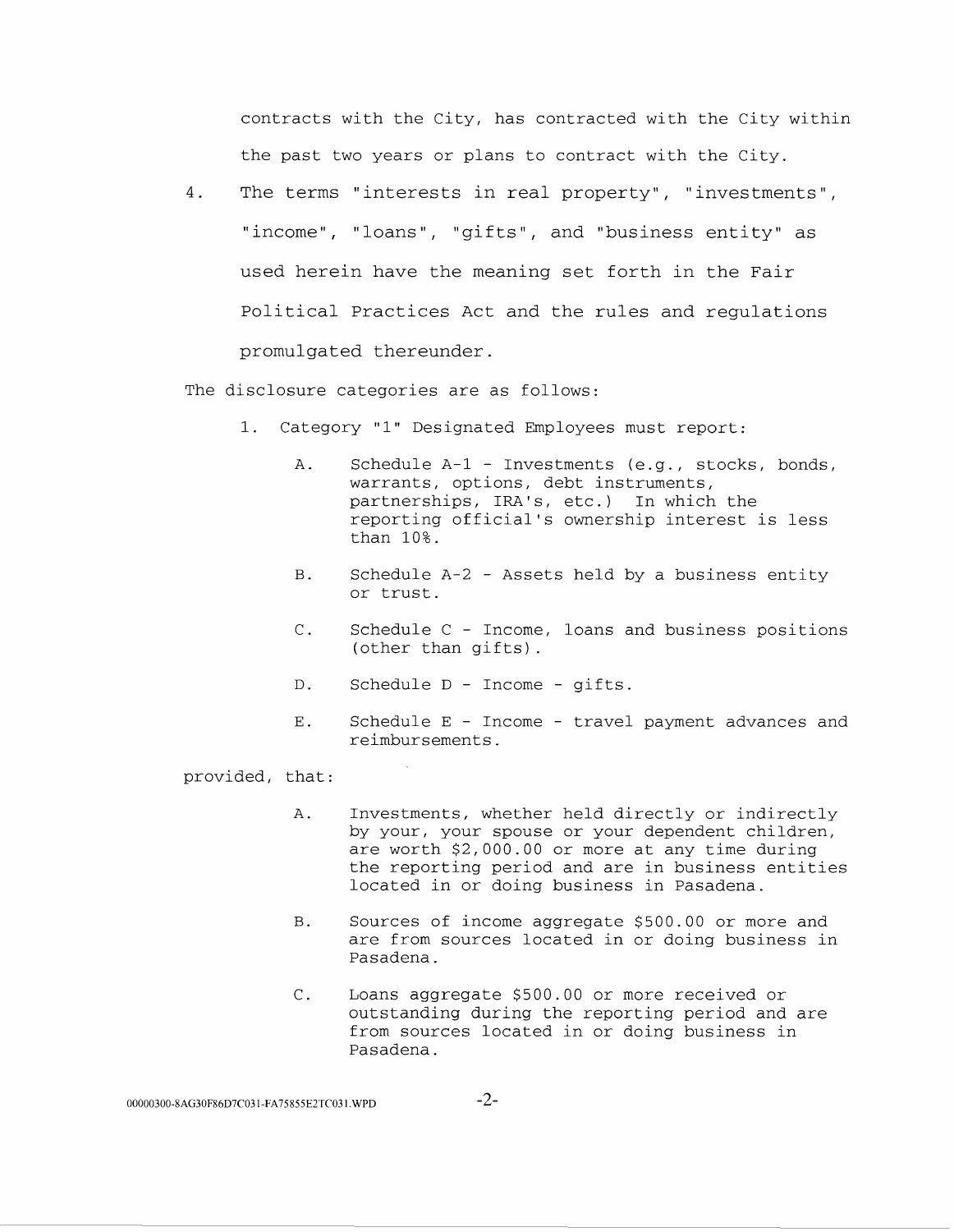contracts with the City, has contracted with the City within the past two years or plans to contract with the City.

4. The terms "interests in real property", "investments", "income", "loans", "gifts", and "business entity" as used herein have the meaning set forth in the Fair Political Practices Act and the rules and regulations promulgated thereunder.

The disclosure categories are as follows:

- 1. Category "1" Designated Employees must report:
	- A. Schedule A-1- Investments (e.g., stocks, bonds, warrants, options, debt instruments, partnerships, IRA's, etc.) In which the reporting official's ownership interest is less than 10%.
	- B. Schedule A-2 Assets held by a business entity or trust.
	- C. Schedule C Income, loans and business positions (other than gifts).
	- D. Schedule D Income gifts.
	- E. Schedule E Income travel payment advances and reimbursements.

- A. Investments, whether held directly or indirectly by your, your spouse or your dependent children, are worth \$2,000.00 or more at any time during the reporting period and are in business entities located in or doing business in Pasadena.
- B. Sources of income aggregate \$500.00 or more and are from sources located in or doing business in Pasadena.
- C. Loans aggregate \$500.00 or more received or outstanding during the reporting period and are from sources located in or doing business in Pasadena.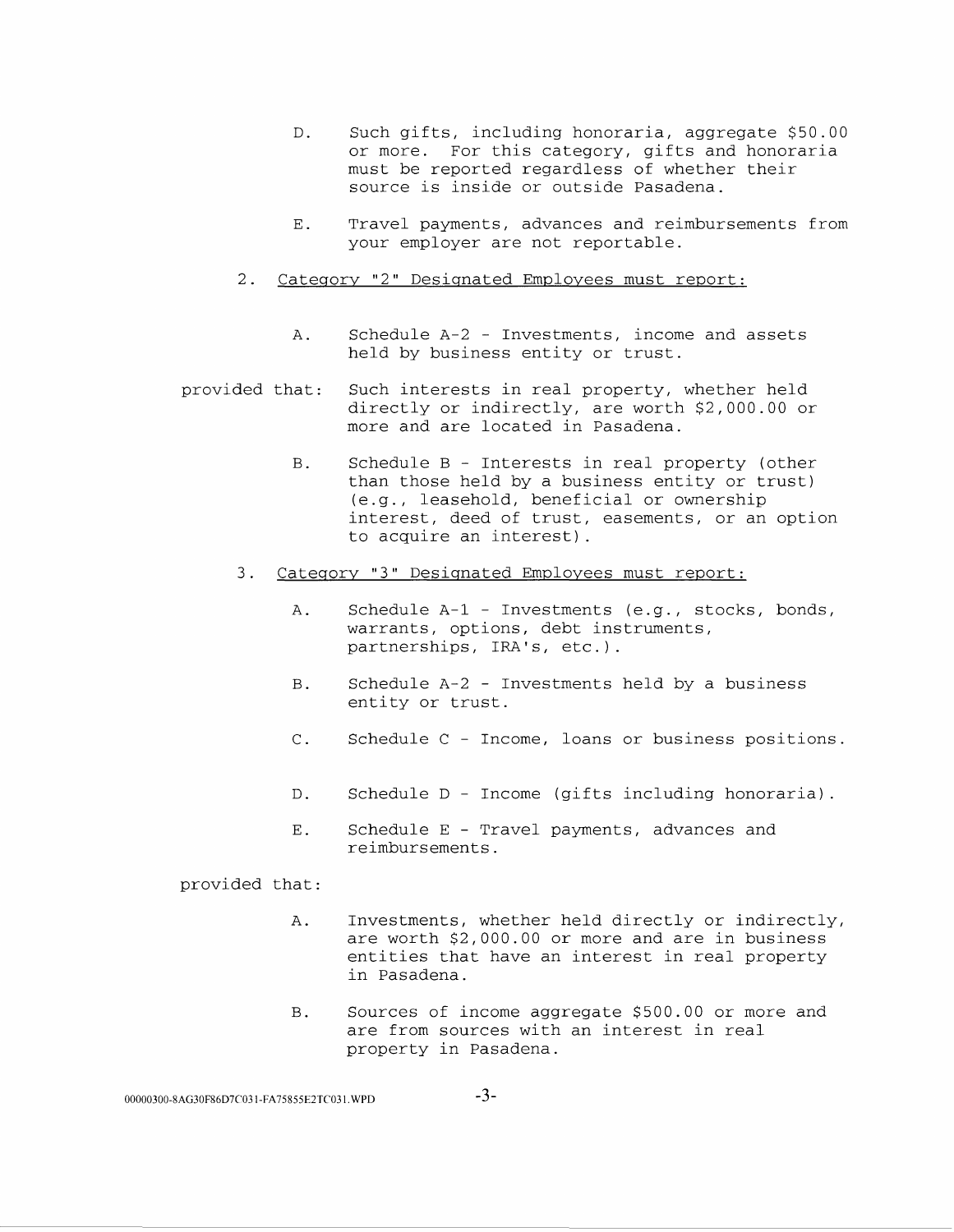- D. Such gifts, including honoraria, aggregate \$50.00 or more. For this category, gifts and honoraria must be reported regardless of whether their source is inside or outside Pasadena.
- E. Travel payments, advances and reimbursements from your employer are not reportable.
- 2. Category "2" Designated Employees must report:
	- A. Schedule A-2 - Investments, income and assets held by business entity or trust.
- provided that: Such interests in real property, whether held directly or indirectly, are worth \$2,000.00 or more and are located in Pasadena.
	- B. Schedule B - Interests in real property (other than those held by a business entity or trust) (e.g., leasehold, beneficial or ownership interest, deed of trust, easements, or an option to acquire an interest).
	- 3. Category "3" Designated Employees must report:
		- A. Schedule A-1- Investments (e.g., stocks, bonds, warrants, options, debt instruments, partnerships, IRA's, etc.).
		- B. Schedule A-2 Investments held by a business entity or trust.
		- C. Schedule C Income, loans or business positions.
		- D. Schedule D Income (gifts including honoraria).
		- E. Schedule E Travel payments, advances and reimbursements.

- A. Investments, whether held directly or indirectly, are worth \$2,000.00 or more and are in business entities that have an interest in real property in Pasadena.
- B. Sources of income aggregate \$500.00 or more and are from sources with an interest in real property in Pasadena.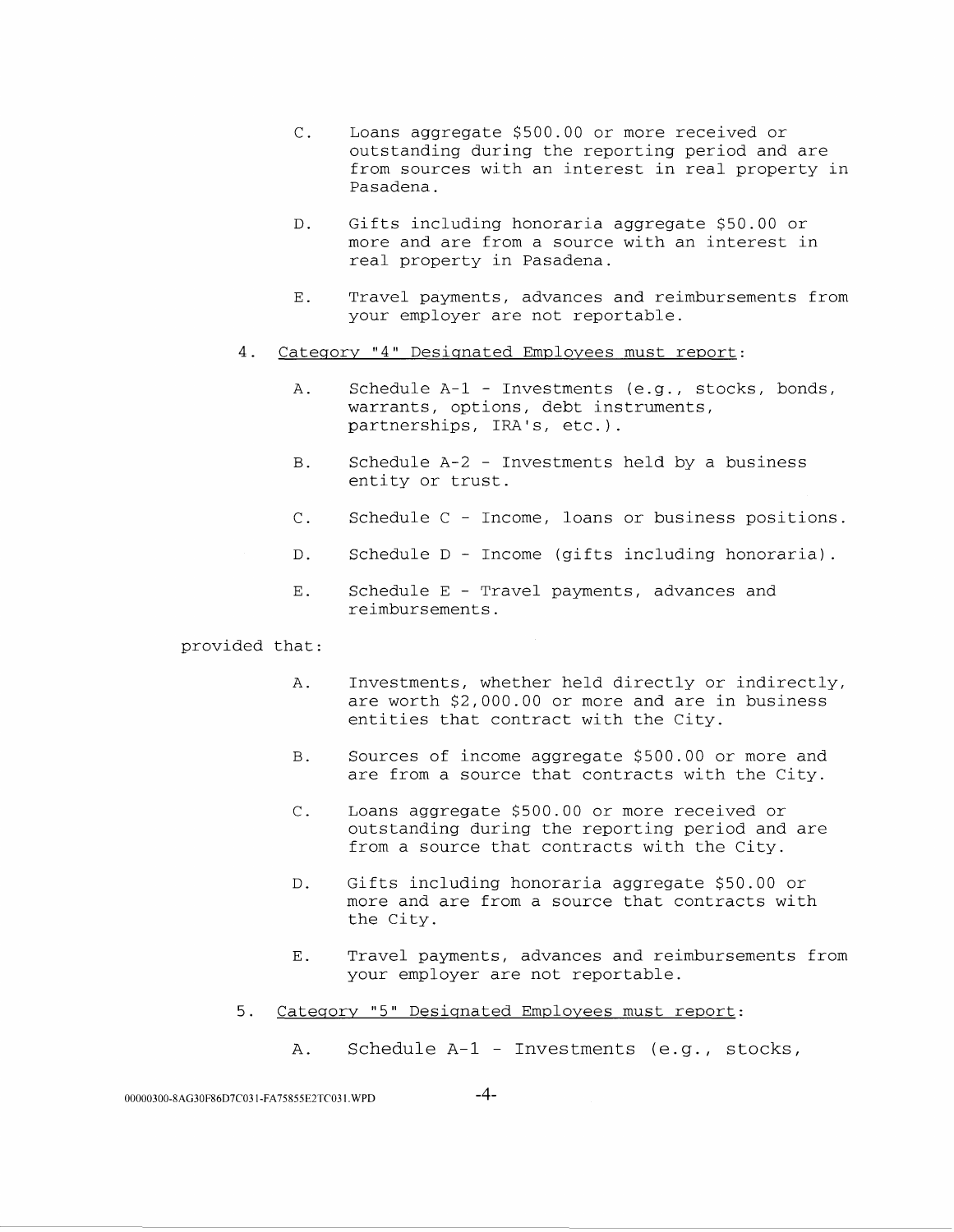- C. Loans aggregate \$500.00 or more received or outstanding during the reporting period and are from sources with an interest in real property in Pasadena.
- D. Gifts including honoraria aggregate \$50.00 or more and are from a source with an interest in real property in Pasadena.
- E. Travel payments, advances and reimbursements from your employer are not reportable.
- 4. Category "4" Designated Employees must report:
	- A. Schedule A-1- Investments (e.g., stocks, bonds, warrants, options, debt instruments, partnerships, IRA's, etc.).
	- B. Schedule A-2 Investments held by a business entity or trust.
	- C. Schedule C Income, loans or business positions.
	- D. Schedule D Income (gifts including honoraria).
	- E. Schedule E Travel payments, advances and reimbursements.

- A. Investments, whether held directly or indirectly, are worth \$2,000.00 or more and are in business entities that contract with the City.
- B. Sources of income aggregate \$500.00 or more and are from a source that contracts with the City.
- C. Loans aggregate \$500.00 or more received or outstanding during the reporting period and are from a source that contracts with the City.
- D. Gifts including honoraria aggregate \$50.00 or more and are from a source that contracts with the City.
- E. Travel payments, advances and reimbursements from your employer are not reportable.
- 5. Category "5" Designated Employees must report:
	- A. Schedule A-1 Investments (e.g., stocks,

00000300-8AG30F86D7C031-FA75855E2TC031.WPD -4-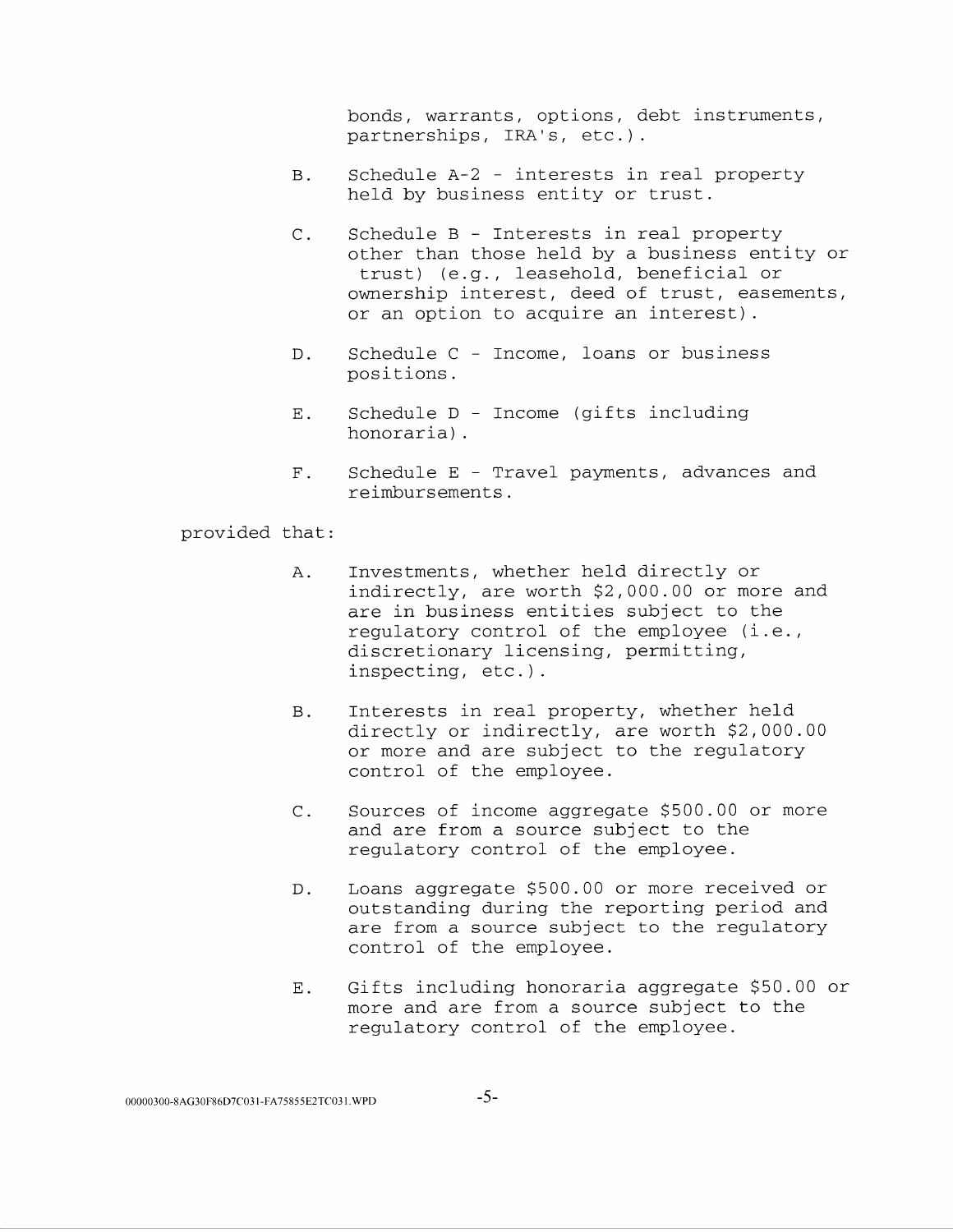bonds, warrants, options, debt instruments, partnerships, IRA's, etc.).

- B. Schedule A-2 interests in real property held by business entity or trust.
- C. Schedule B Interests in real property other than those held by a business entity or trust) (e.g., leasehold, beneficial or ownership interest, deed of trust, easements, or an option to acquire an interest).
- D. Schedule C Income, loans or business positions.
- E. Schedule D Income (gifts including honoraria).
- F. Schedule E Travel payments, advances and reimbursements.

- A. Investments, whether held directly or indirectly, are worth \$2,000.00 or more and are in business entities subject to the regulatory control of the employee (i.e., discretionary licensing, permitting, inspecting, etc.).
- B. Interests in real property, whether held directly or indirectly, are worth \$2,000.00 or more and are subject to the regulatory control of the employee.
- C. Sources of income aggregate \$500.00 or more and are from a source subject to the regulatory control of the employee.
- D. Loans aggregate \$500.00 or more received or outstanding during the reporting period and are from a source subject to the regulatory control of the employee.
- E. Gifts including honoraria aggregate \$50.00 or more and are from a source subject to the regulatory control of the employee.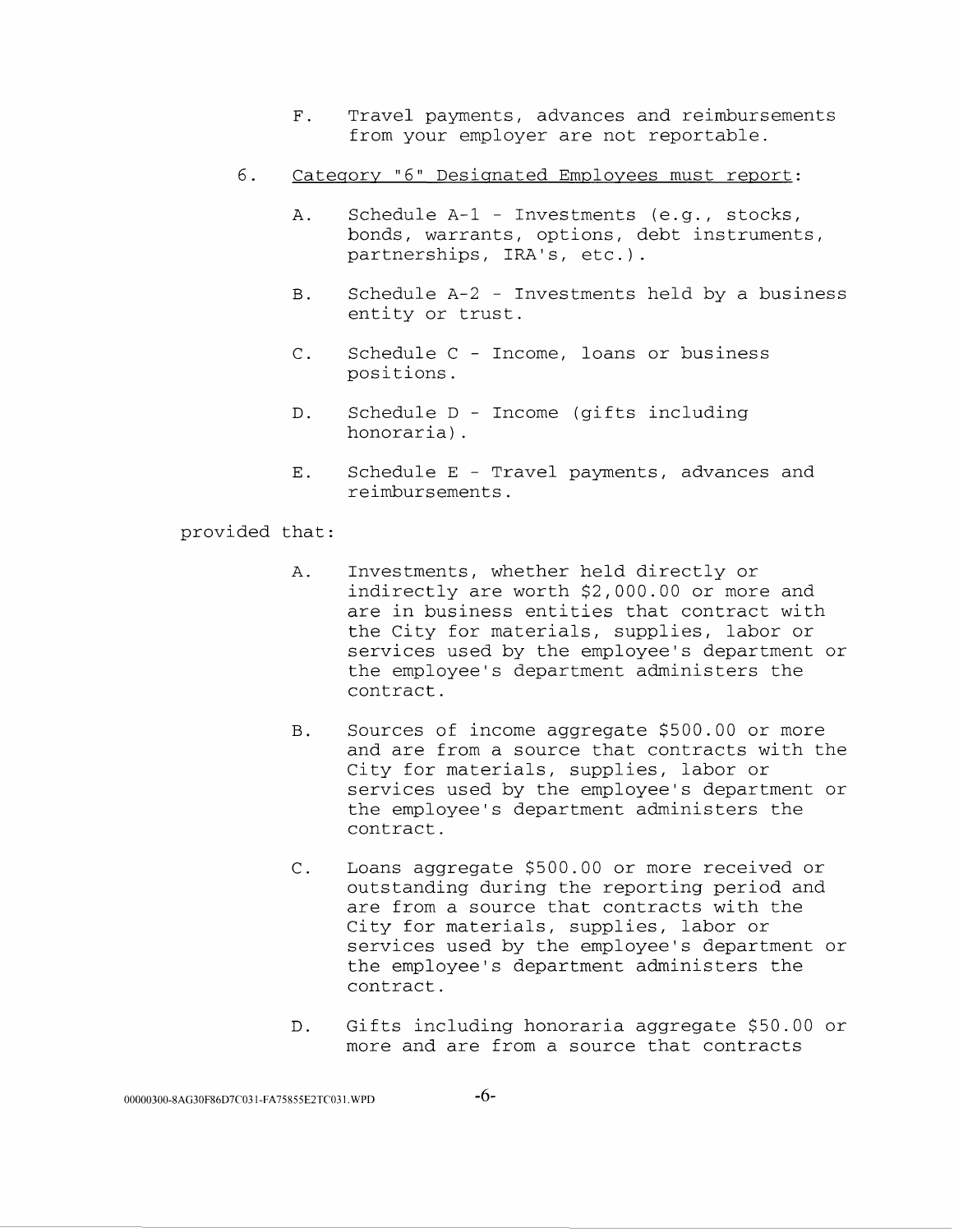- F. Travel payments, advances and reimbursements from your employer are not reportable.
- 6. Category "6" Designated Employees must report:
	- A. Schedule A-1 Investments (e.g., stocks, bonds, warrants, options, debt instruments, partnerships, IRA's, etc.).
	- B. Schedule A-2 Investments held by a business entity or trust.
	- C. Schedule C Income, loans or business positions.
	- D. Schedule D Income (gifts including honoraria) .
	- E. Schedule E Travel payments, advances and reimbursements.

- A. Investments, whether held directly or indirectly are worth \$2,000.00 or more and are in business entities that contract with the City for materials, supplies, labor or services used by the employee's department or the employee's department administers the contract.
- B. Sources of income aggregate \$500.00 or more and are from a source that contracts with the City for materials, supplies, labor or services used by the employee's department or the employee's department administers the contract.
- C. Loans aggregate \$500.00 or more received or outstanding during the reporting period and are from a source that contracts with the City for materials, supplies, labor or services used by the employee's department or the employee's department administers the contract.
- D. Gifts including honoraria aggregate \$50.00 or more and are from a source that contracts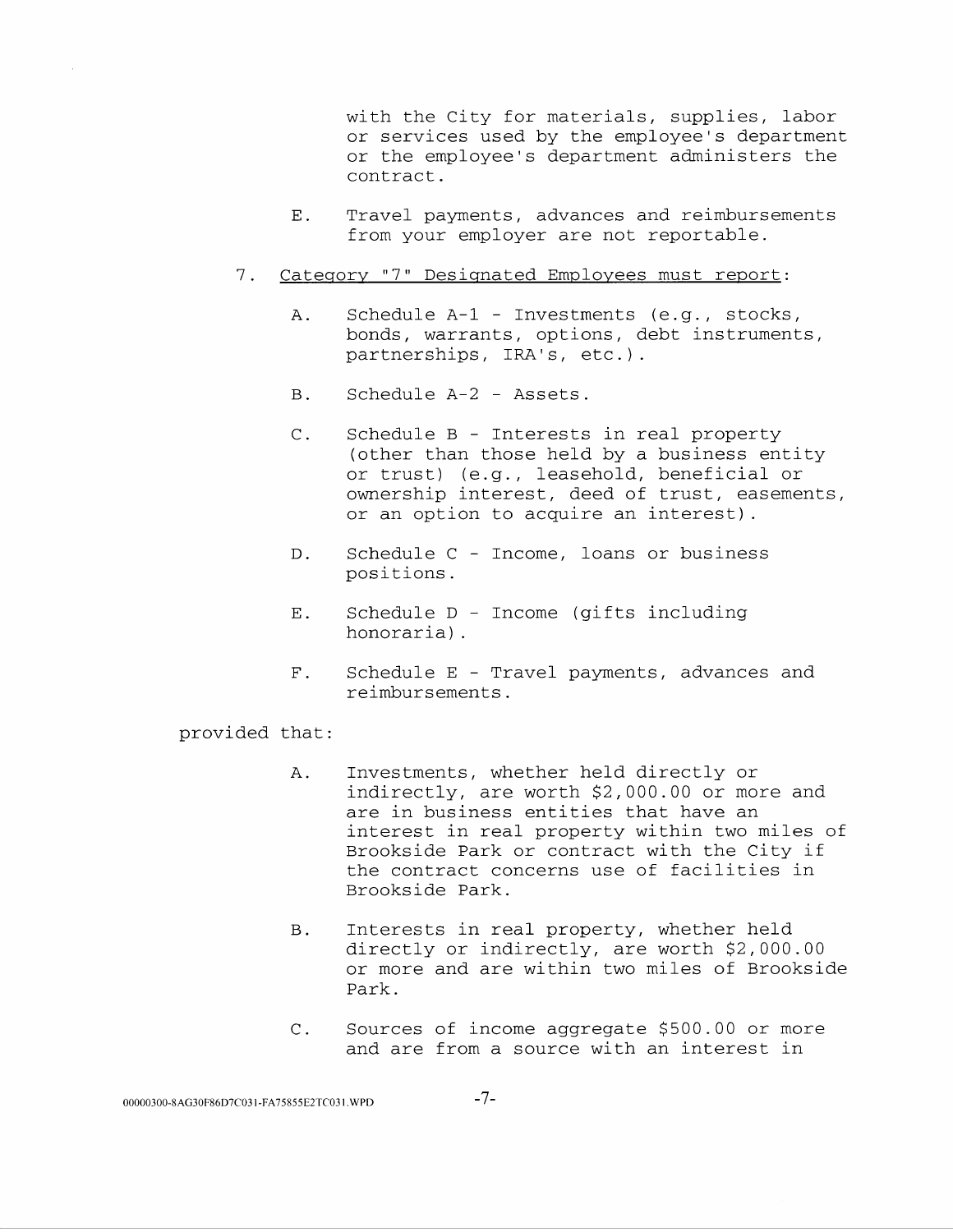with the City for materials, supplies, labor or services used by the employee's department or the employee's department administers the contract.

- E. Travel payments, advances and reimbursements from your employer are not reportable.
- 7. Category "7" Designated Employees must report:
	- A. Schedule A-1 Investments (e.g., stocks, bonds, warrants, options, debt instruments, partnerships, IRA's, etc.).
	- B. Schedule A-2 Assets.
	- C. Schedule B Interests in real property (other than those held by a business entity or trust) (e.g., leasehold, beneficial or ownership interest, deed of trust, easements, or an option to acquire an interest) .
	- D. Schedule C Income, loans or business positions.
	- E. Schedule D Income (gifts including honoraria) .
	- F. Schedule E Travel payments, advances and reimbursements.

- A. Investments, whether held directly or indirectly, are worth \$2,000.00 or more and are in business entities that have an interest in real property within two miles of Brookside Park or contract with the City if the contract concerns use of facilities in Brookside Park.
- B. Interests in real property, whether held directly or indirectly, are worth \$2,000.00 or more and are within two miles of Brookside Park.
- C. Sources of income aggregate \$500.00 or more and are from a source with an interest in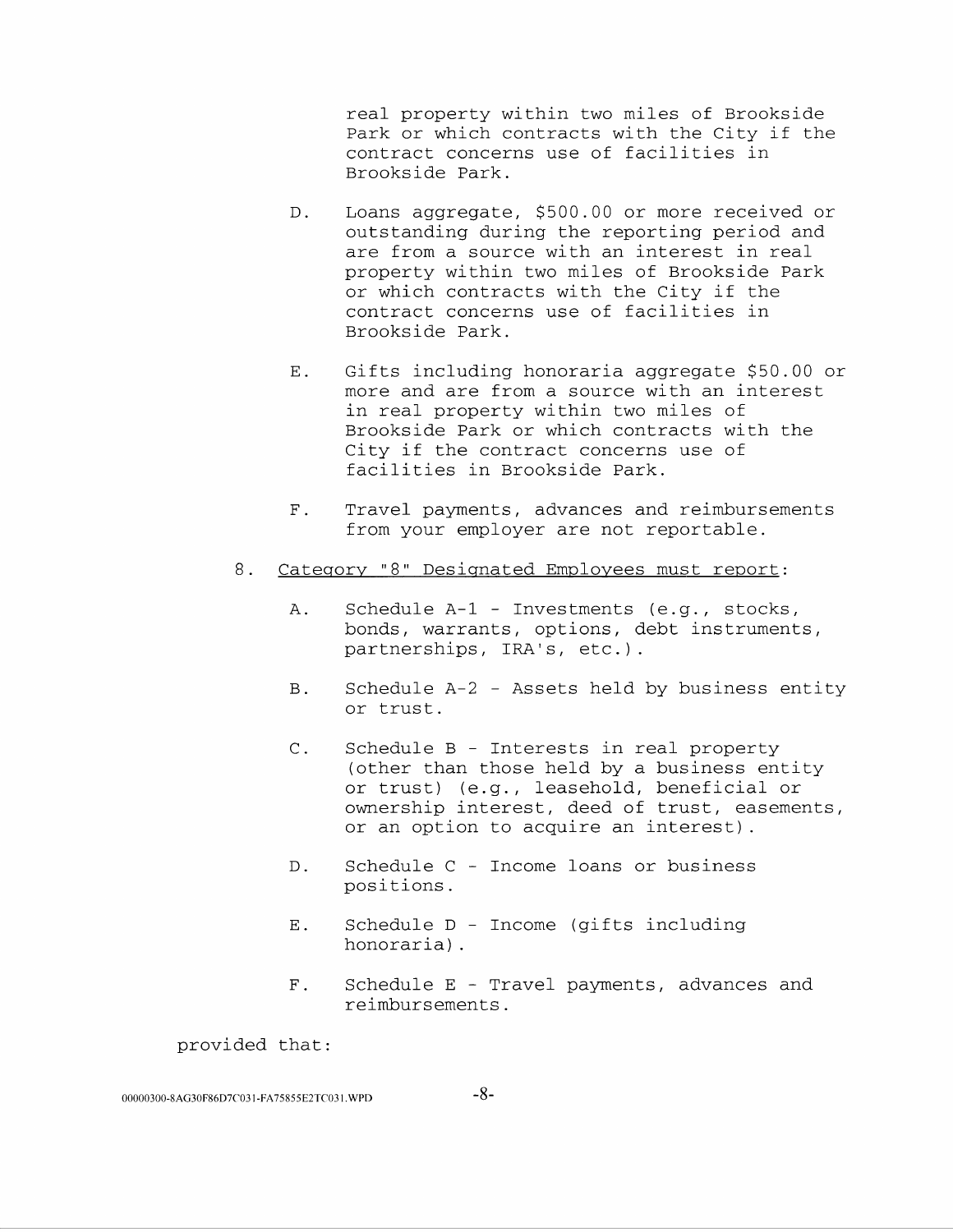real property within two miles of Brookside Park or which contracts with the City if the contract concerns use of facilities in Brookside Park.

- D. Loans aggregate, \$500.00 or more received or outstanding during the reporting period and are from a source with an interest in real property within two miles of Brookside Park or which contracts with the City if the contract concerns use of facilities in Brookside Park.
- E. Gifts including honoraria aggregate \$50.00 or more and are from a source with an interest in real property within two miles of Brookside Park or which contracts with the City if the contract concerns use of facilities in Brookside Park.
- F. Travel payments, advances and reimbursements from your employer are not reportable.
- 8. Category "8" Designated Employees must report:
	- A. Schedule A-1 Investments (e.g., stocks, bonds, warrants, options, debt instruments, partnerships, IRA's, etc.).
	- B. Schedule A-2 Assets held by business entity or trust.
	- C. Schedule B Interests in real property (other than those held by a business entity or trust) (e.g., leasehold, beneficial or ownership interest, deed of trust, easements, or an option to acquire an interest).
	- D. Schedule C Income loans or business positions.
	- E. Schedule D Income (gifts including honoraria) .
	- F. Schedule E Travel payments, advances and reimbursements.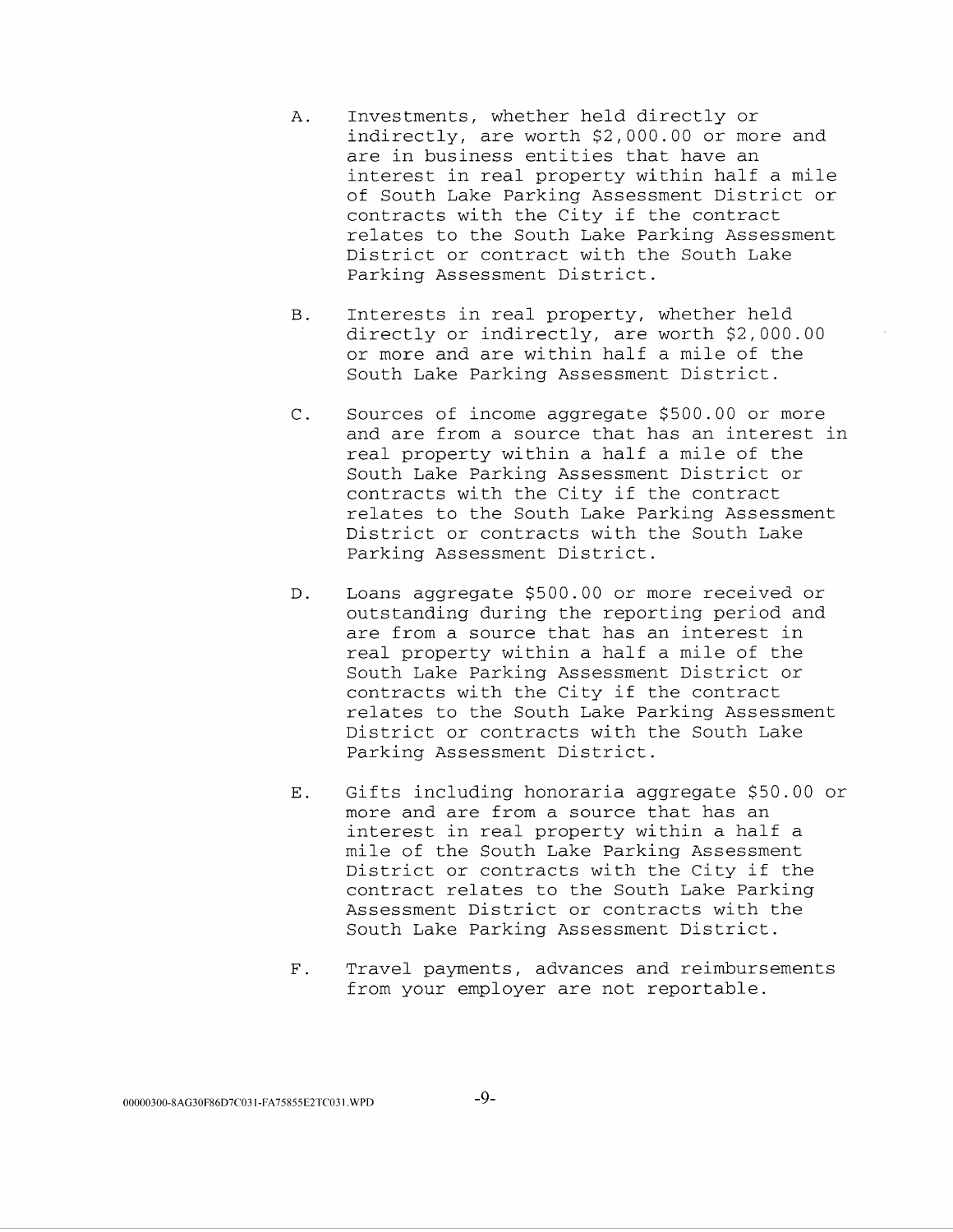- A. Investments, whether held directly or indirectly, are worth \$2,000.00 or more and are in business entities that have an interest in real property within half a mile of South Lake Parking Assessment District or contracts with the City if the contract relates to the South Lake Parking Assessment District or contract with the South Lake Parking Assessment District.
- B. Interests in real property, whether held directly or indirectly, are worth \$2,000.00 or more and are within half a mile of the South Lake Parking Assessment District.
- C. Sources of income aggregate \$500.00 or more and are from a source that has an interest in real property within a half a mile of the South Lake Parking Assessment District or contracts with the City if the contract relates to the South Lake Parking Assessment District or contracts with the South Lake Parking Assessment District.
- D. Loans aggregate \$500.00 or more received or outstanding during the reporting period and are from a source that has an interest in real property within a half a mile of the South Lake Parking Assessment District or contracts with the City if the contract relates to the South Lake Parking Assessment District or contracts with the South Lake Parking Assessment District.
- E. Gifts including honoraria aggregate \$50.00 or more and are from a source that has an interest in real property within a half a mile of the South Lake Parking Assessment District or contracts with the City if the contract relates to the South Lake Parking Assessment District or contracts with the South Lake Parking Assessment District.
- F. Travel payments, advances and reimbursements from your employer are not reportable.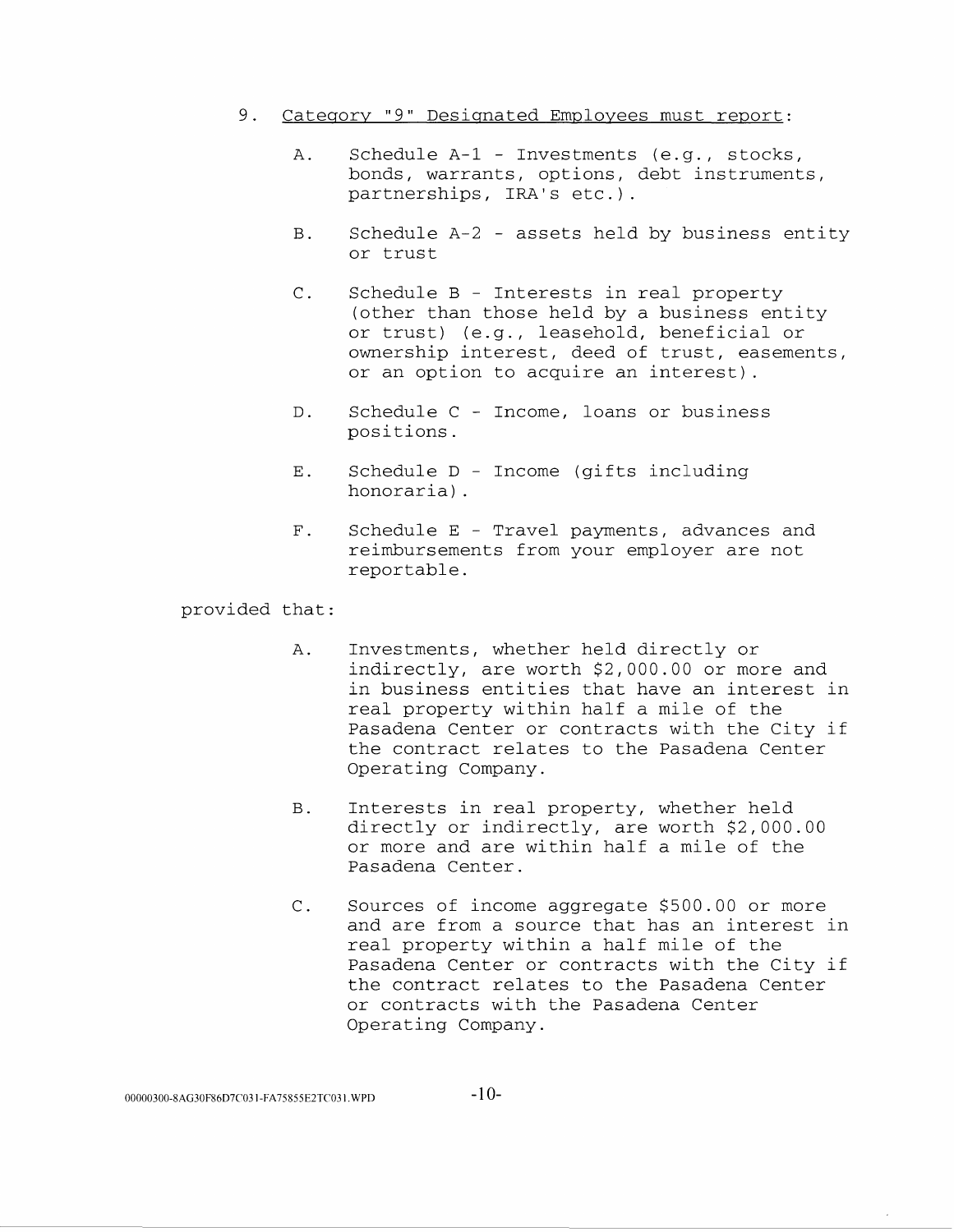- 9. Category "9" Designated Employees must report:
	- A. Schedule A-1 Investments (e.g., stocks, bonds, warrants, options, debt instruments, partnerships, IRA's etc.).
	- B. Schedule A-2 assets held by business entity or trust
	- C. Schedule B Interests in real property (other than those held by a business entity or trust) (e.g., leasehold, beneficial or ownership interest, deed of trust, easements, or an option to acquire an interest).
	- D. Schedule C Income, loans or business positions.
	- E. Schedule D Income (gifts including honoraria).
	- F. Schedule E Travel payments, advances and reimbursements from your employer are not reportable.

- A. Investments, whether held directly or indirectly, are worth \$2,000.00 or more and in business entities that have an interest in real property within half a mile of the Pasadena Center or contracts with the City if the contract relates to the Pasadena Center Operating Company.
- B. Interests in real property, whether held directly or indirectly, are worth \$2,000.00 or more and are within half a mile of the Pasadena Center.
- C. Sources of income aggregate \$500.00 or more and are from a source that has an interest in real property within a half mile of the Pasadena Center or contracts with the City if the contract relates to the Pasadena Center or contracts with the Pasadena Center Operating Company.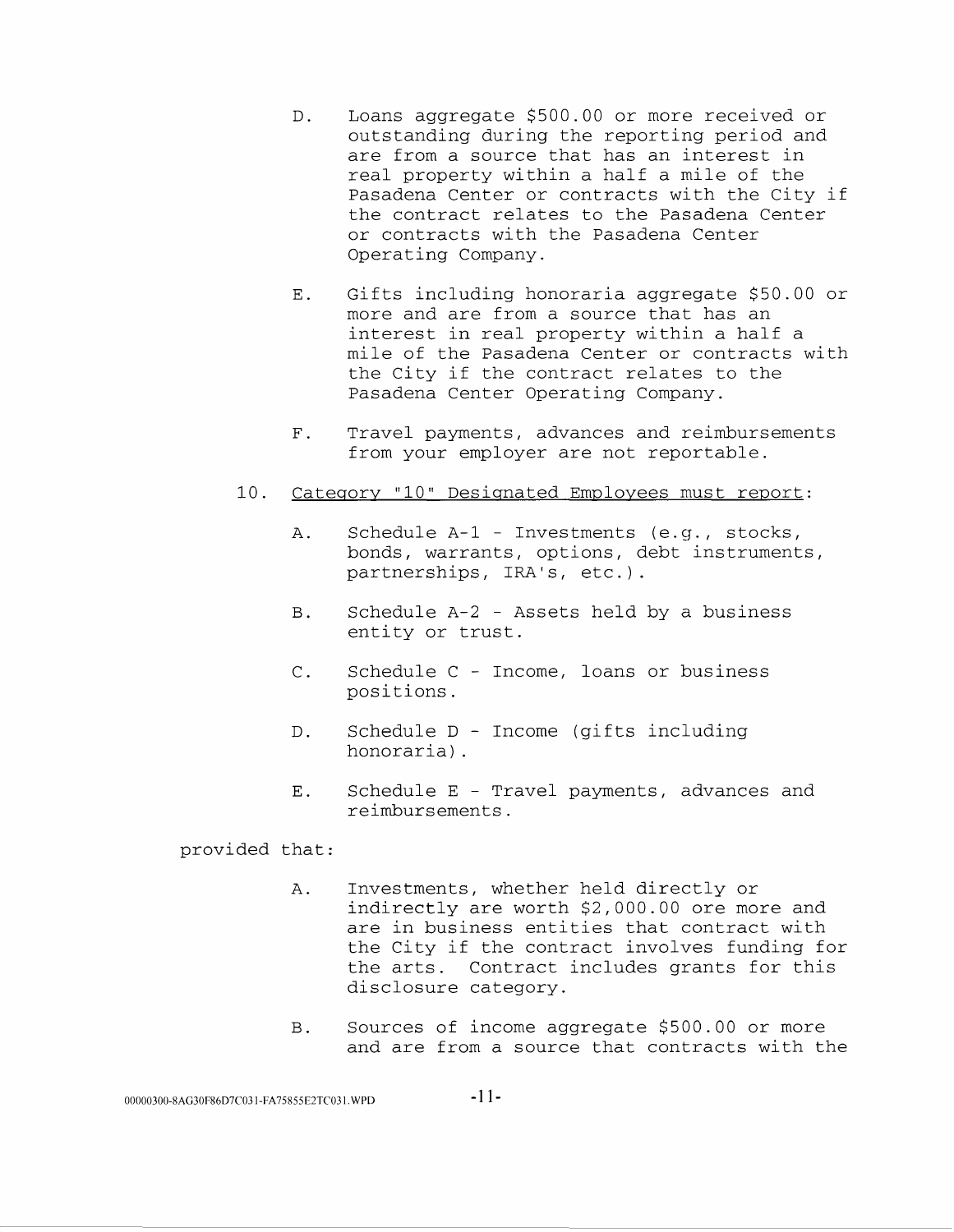- D. Loans aggregate \$500.00 or more received or outstanding during the reporting period and are from a source that has an interest in real property within a half a mile of the Pasadena Center or contracts with the City if the contract relates to the Pasadena Center or contracts with the Pasadena Center Operating Company.
- E. Gifts including honoraria aggregate \$50.00 or more and are from a source that has an interest in real property within a half a mile of the Pasadena Center or contracts with the City if the contract relates to the Pasadena Center Operating Company.
- F. Travel payments, advances and reimbursements from your employer are not reportable.
- 10. Category "10" Designated Employees must report:
	- A. Schedule A-1 Investments (e.g., stocks, bonds, warrants, options, debt instruments, partnerships, IRA's, etc.).
	- B. Schedule A-2 Assets held by a business entity or trust.
	- C. Schedule C Income, loans or business positions.
	- D. Schedule D Income (gifts including honoraria) .
	- E. Schedule E Travel payments, advances and reimbursements.

- A. Investments, whether held directly or indirectly are worth \$2,000.00 ore more and are in business entities that contract with the City if the contract involves funding for the arts. Contract includes grants for this disclosure category.
- B. Sources of income aggregate \$500.00 or more and are from a source that contracts with the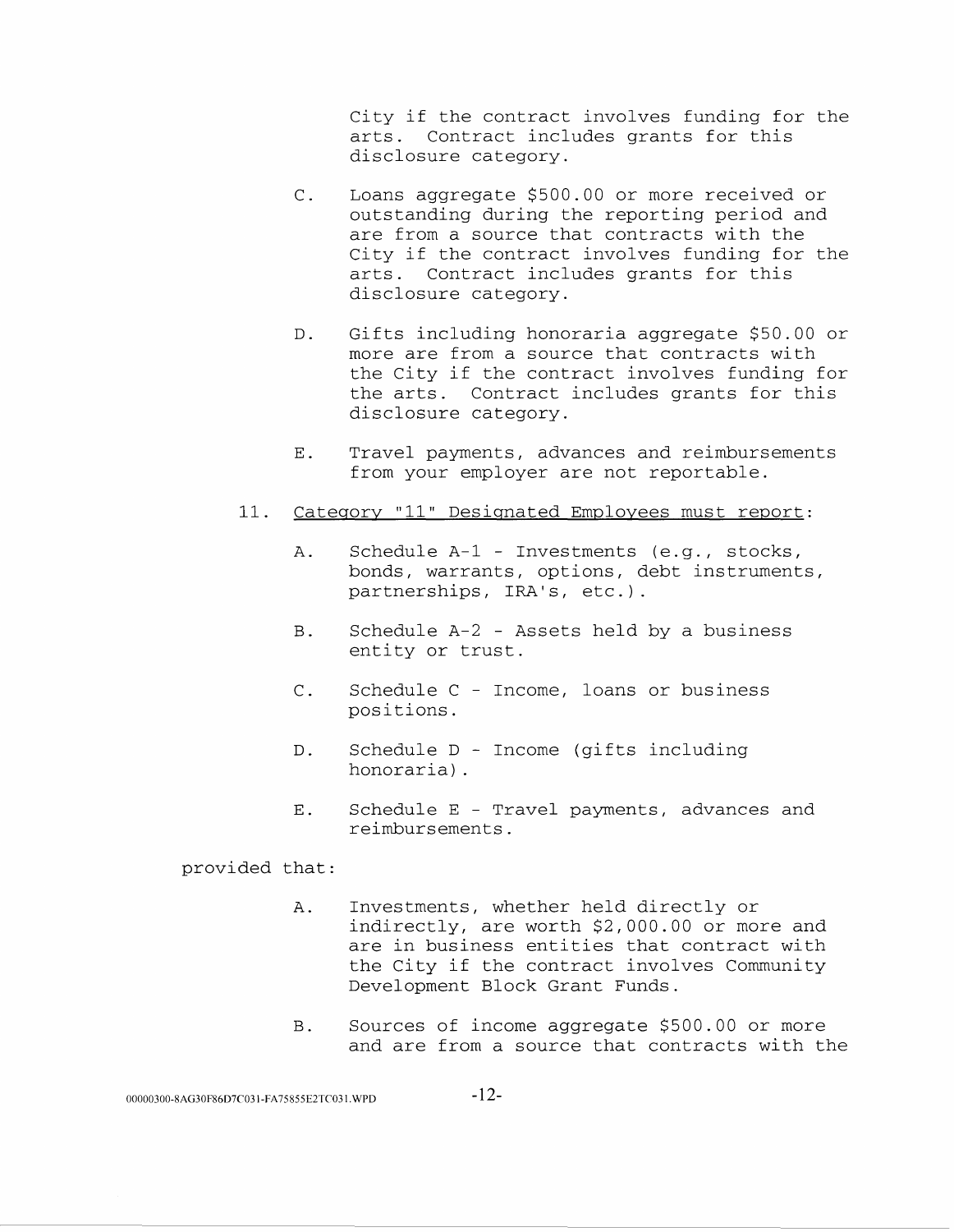City if the contract involves funding for the arts. Contract includes grants for this disclosure category.

- C. Loans aggregate \$500.00 or more received or outstanding during the reporting period and are from a source that contracts with the City if the contract involves funding for the arts. Contract includes grants for this disclosure category.
- D. Gifts including honoraria aggregate \$50.00 or more are from a source that contracts with the City if the contract involves funding for the arts. Contract includes grants for this disclosure category.
- E. Travel payments, advances and reimbursements from your employer are not reportable.
- 11. Category "11" Designated Employees must report:
	- A. Schedule A-1 Investments (e.g., stocks, bonds, warrants, options, debt instruments, partnerships, IRA's, etc.).
	- B. Schedule A-2 Assets held by a business entity or trust.
	- C. Schedule C Income, loans or business positions.
	- D. Schedule D Income (gifts including honoraria) .
	- E. Schedule E Travel payments, advances and reimbursements.

- A. Investments, whether held directly or indirectly, are worth \$2,000.00 or more and are in business entities that contract with the City if the contract involves Community Development Block Grant Funds.
- B. Sources of income aggregate \$500.00 or more and are from a source that contracts with the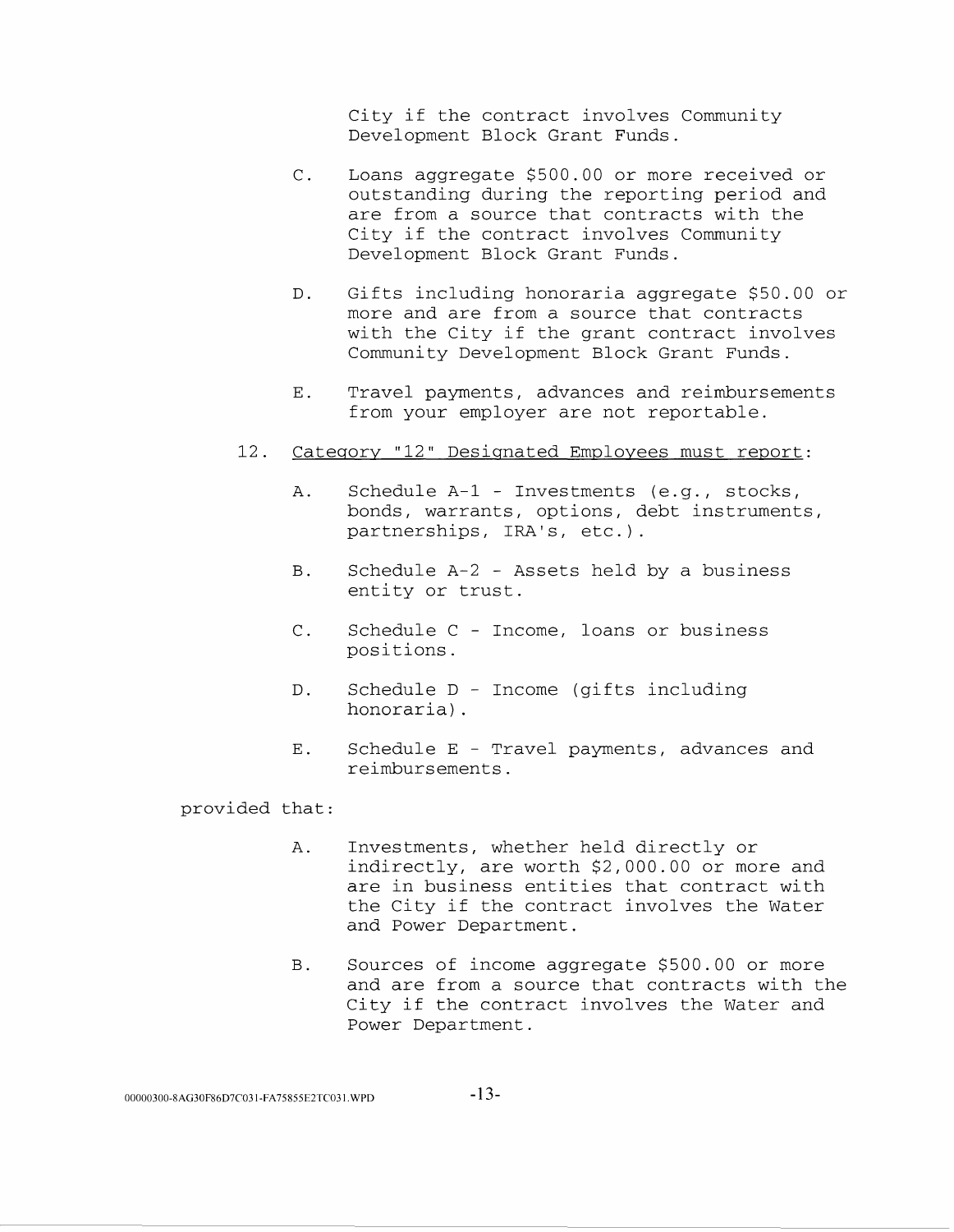City if the contract involves Community Development Block Grant Funds.

- C. Loans aggregate \$500.00 or more received or outstanding during the reporting period and are from a source that contracts with the City if the contract involves Community Development Block Grant Funds.
- D. Gifts including honoraria aggregate \$50.00 or more and are from a source that contracts with the City if the grant contract involves Community Development Block Grant Funds.
- E. Travel payments, advances and reimbursements from your employer are not reportable.
- 12. Category "12" Designated Employees must report:
	- A. Schedule A-1 Investments (e.g., stocks, bonds, warrants, options, debt instruments, partnerships, IRA's, etc.).
	- B. Schedule A-2 Assets held by a business entity or trust.
	- C. Schedule C Income, loans or business positions.
	- D. Schedule D Income (gifts including honoraria) .
	- E. Schedule E Travel payments, advances and reimbursements.

- A. Investments, whether held directly or indirectly, are worth \$2,000.00 or more and are in business entities that contract with the City if the contract involves the Water and Power Department.
- B. Sources of income aggregate \$500.00 or more and are from a source that contracts with the City if the contract involves the Water and Power Department.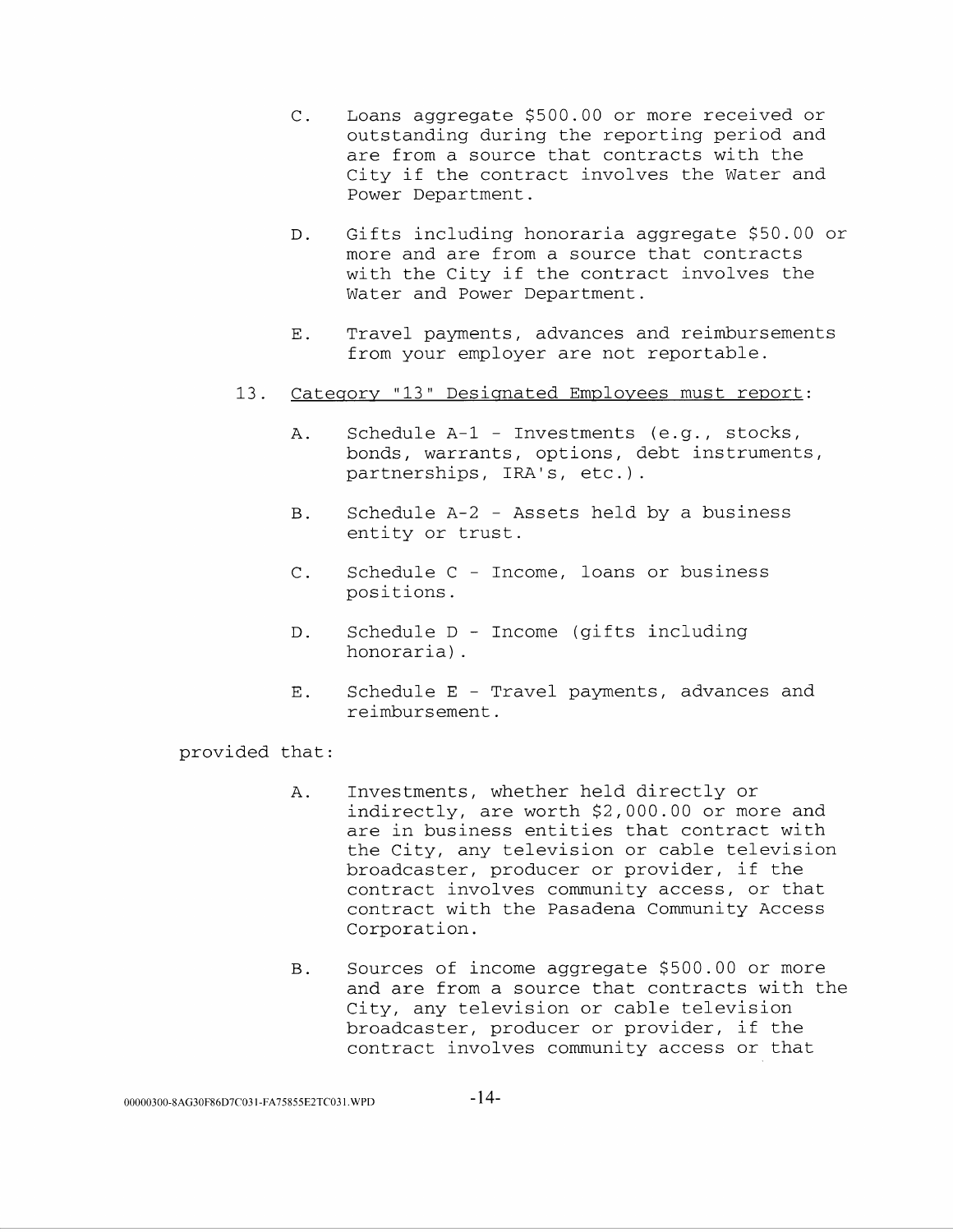- C. Loans aggregate \$500.00 or more received or outstanding during the reporting period and are from a source that contracts with the City if the contract involves the Water and Power Department.
- D. Gifts including honoraria aggregate \$50.00 or more and are from a source that contracts with the City if the contract involves the Water and Power Department.
- E. Travel payments, advances and reimbursements from your employer are not reportable.
- 13. Category "13" Designated Employees must report:
	- A. Schedule A-1 Investments (e.g., stocks, bonds, warrants, options, debt instruments, partnerships, IRA's, etc.).
	- B. Schedule A-2 Assets held by a business entity or trust.
	- C. Schedule C Income, loans or business positions.
	- D. Schedule D Income (gifts including honoraria) .
	- E. Schedule E Travel payments, advances and reimbursement.

- A. Investments, whether held directly or indirectly, are worth \$2,000.00 or more and are in business entities that contract with the City, any television or cable television broadcaster, producer or provider, if the contract involves community access, or that contract with the Pasadena Community Access Corporation.
- B. Sources of income aggregate \$500.00 or more and are from a source that contracts with the City, any television or cable television broadcaster, producer or provider, if the contract involves community access or that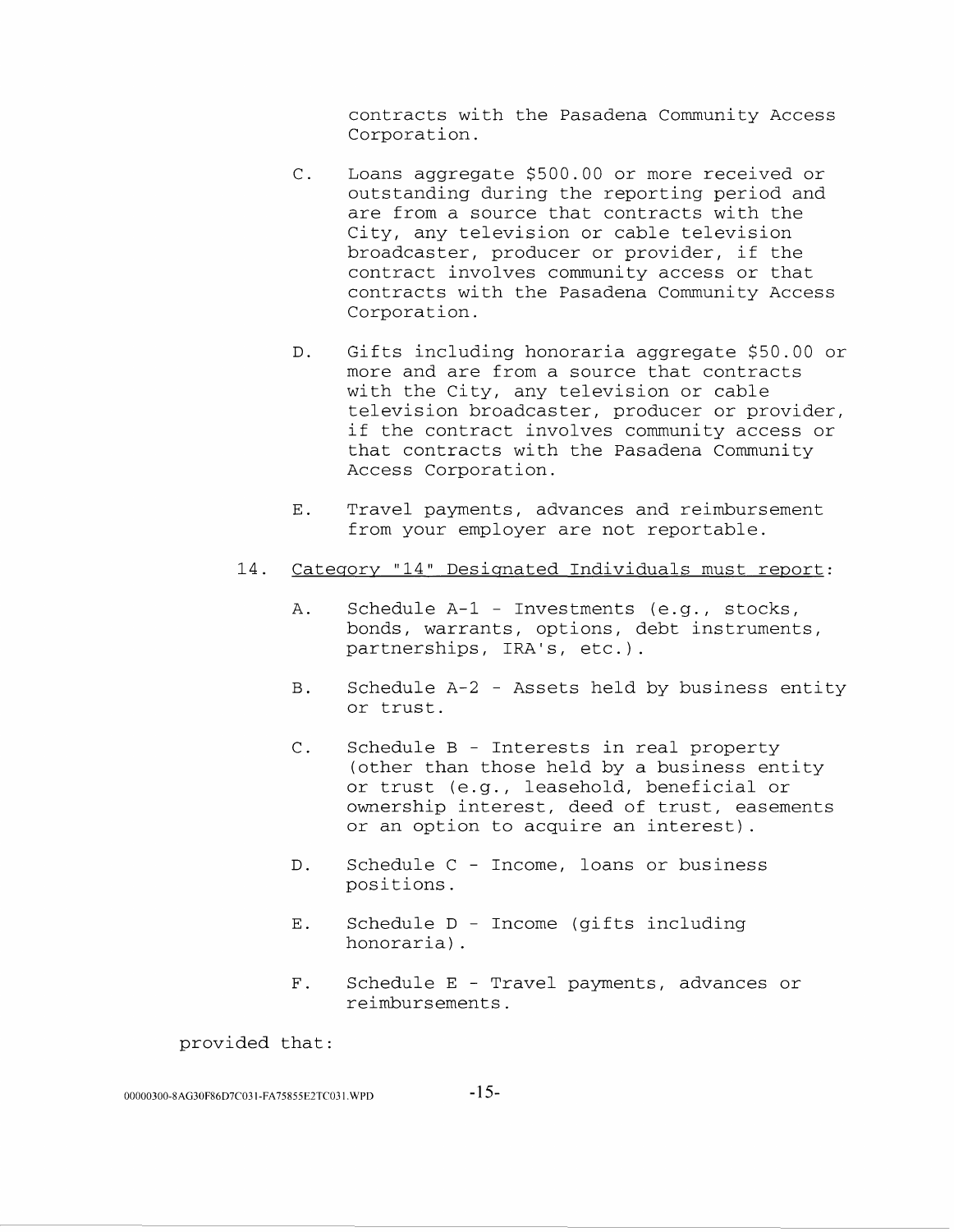contracts with the Pasadena Community Access Corporation.

- C. Loans aggregate \$500.00 or more received or outstanding during the reporting period and are from a source that contracts with the City, any television or cable television broadcaster, producer or provider, if the contract involves community access or that contracts with the Pasadena Community Access Corporation.
- D. Gifts including honoraria aggregate \$50.00 or more and are from a source that contracts with the City, any television or cable television broadcaster, producer or provider, if the contract involves community access or that contracts with the Pasadena Community Access Corporation.
- E. Travel payments, advances and reimbursement from your employer are not reportable.
- 14. Category "14" Designated Individuals must report:
	- A. Schedule A-1 Investments (e.g., stocks, bonds, warrants, options, debt instruments, partnerships, IRA's, etc.).
	- B. Schedule A-2 Assets held by business entity or trust.
	- C. Schedule B Interests in real property (other than those held by a business entity or trust (e.g., leasehold, beneficial or ownership interest, deed of trust, easements or an option to acquire an interest).
	- D. Schedule C Income, loans or business positions.
	- E. Schedule D Income (gifts including honoraria) .
	- F. Schedule E Travel payments, advances or reimbursements.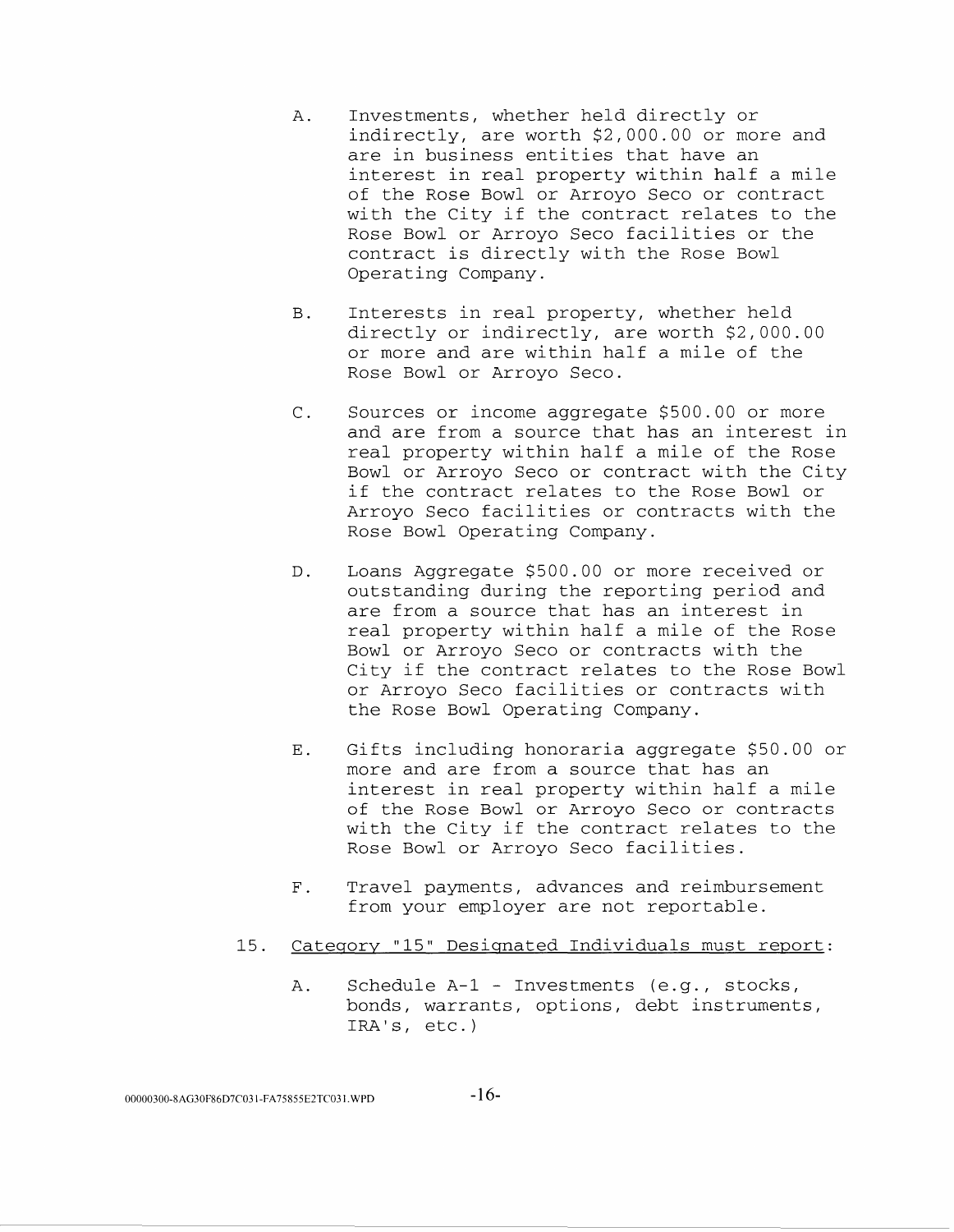- A. Investments, whether held directly or indirectly, are worth \$2,000.00 or more and are in business entities that have an interest in real property within half a mile of the Rose Bowl or Arroyo Seco or contract with the City if the contract relates to the Rose Bowl or Arroyo Seco facilities or the contract is directly with the Rose Bowl Operating Company.
- B. Interests in real property, whether held directly or indirectly, are worth \$2,000.00 or more and are within half a mile of the Rose Bowl or Arroyo Seco.
- C. Sources or income aggregate \$500.00 or more and are from a source that has an interest in real property within half a mile of the Rose Bowl or Arroyo Seco or contract with the City if the contract relates to the Rose Bowl or Arroyo Seco facilities or contracts with the Rose Bowl Operating Company.
- D. Loans Aggregate \$500.00 or more received or outstanding during the reporting period and are from a source that has an interest in real property within half a mile of the Rose Bowl or Arroyo Seco or contracts with the City if the contract relates to the Rose Bowl or Arroyo Seco facilities or contracts with the Rose Bowl Operating Company.
- E. Gifts including honoraria aggregate \$50.00 or more and are from a source that has an interest in real property within half a mile of the Rose Bowl or Arroyo Seco or contracts with the City if the contract relates to the Rose Bowl or Arroyo Seco facilities.
- F. Travel payments, advances and reimbursement from your employer are not reportable.
- 15. Category "15" Designated Individuals must report:
	- A. Schedule A-1 Investments (e.g., stocks, bonds, warrants, options, debt instruments, IRA's, etc.)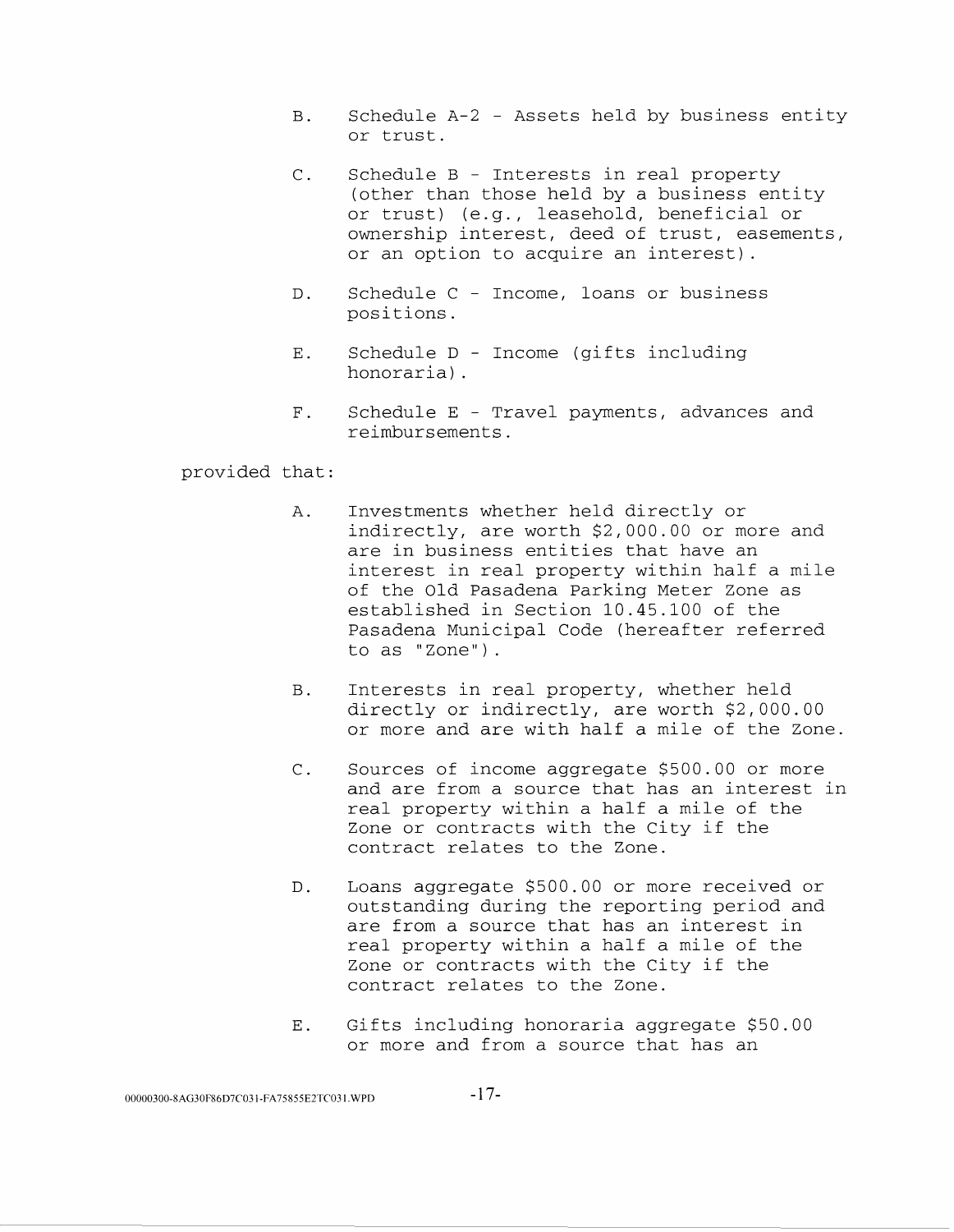- B. Schedule A-2 Assets held by business entity or trust.
- C. Schedule B Interests in real property (other than those held by a business entity or trust) (e.g., leasehold, beneficial or ownership interest, deed of trust, easements, or an option to acquire an interest).
- D. Schedule C Income, loans or business positions.
- E. Schedule D Income (gifts including honoraria) .
- F. Schedule E Travel payments, advances and reimbursements.

- A. Investments whether held directly or indirectly, are worth \$2,000.00 or more and are in business entities that have an interest in real property within half a mile of the Old Pasadena Parking Meter Zone as established in Section 10.45.100 of the Pasadena Municipal Code (hereafter referred to as "Zone").
- B. Interests in real property, whether held directly or indirectly, are worth \$2,000.00 or more and are with half a mile of the Zone.
- C. Sources of income aggregate \$500.00 or more and are from a source that has an interest in real property within a half a mile of the Zone or contracts with the City if the contract relates to the Zone.
- D. Loans aggregate \$500.00 or more received or outstanding during the reporting period and are from a source that has an interest in real property within a half a mile of the Zone or contracts with the City if the contract relates to the Zone.
- E. Gifts including honoraria aggregate \$50.00 or more and from a source that has an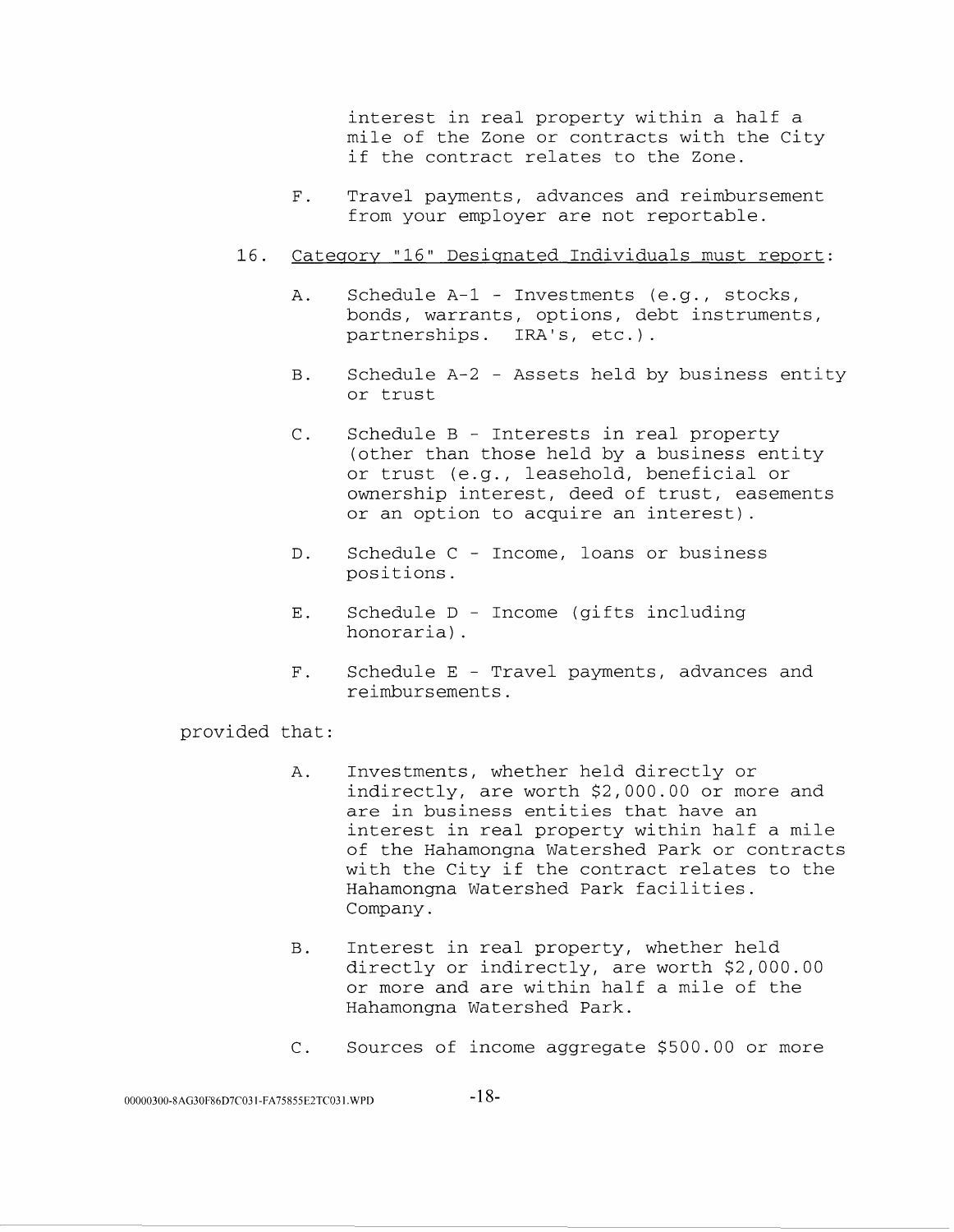interest in real property within a half a mile of the Zone or contracts with the City if the contract relates to the Zone.

F. Travel payments, advances and reimbursement from your employer are not reportable.

### 16. Category "16" Designated Individuals must report:

- A. Schedule A-1 Investments (e.g., stocks, bonds, warrants, options, debt instruments, partnerships. IRA's, etc.).
- B. Schedule A-2 Assets held by business entity or trust
- C. Schedule B Interests in real property (other than those held by a business entity or trust (e.g., leasehold, beneficial or ownership interest, deed of trust, easements or an option to acquire an interest) .
- D. Schedule C Income, loans or business positions.
- E. Schedule D Income (gifts including honoraria) .
- F. Schedule E Travel payments, advances and reimbursements.

- A. Investments, whether held directly or indirectly, are worth \$2,000.00 or more and are in business entities that have an interest in real property within half a mile of the Hahamongna Watershed Park or contracts with the City if the contract relates to the Hahamongna Watershed Park facilities. Company.
- B. Interest in real property, whether held directly or indirectly, are worth \$2,000.00 or more and are within half a mile of the Hahamongna Watershed Park.
- C. Sources of income aggregate \$500.00 or more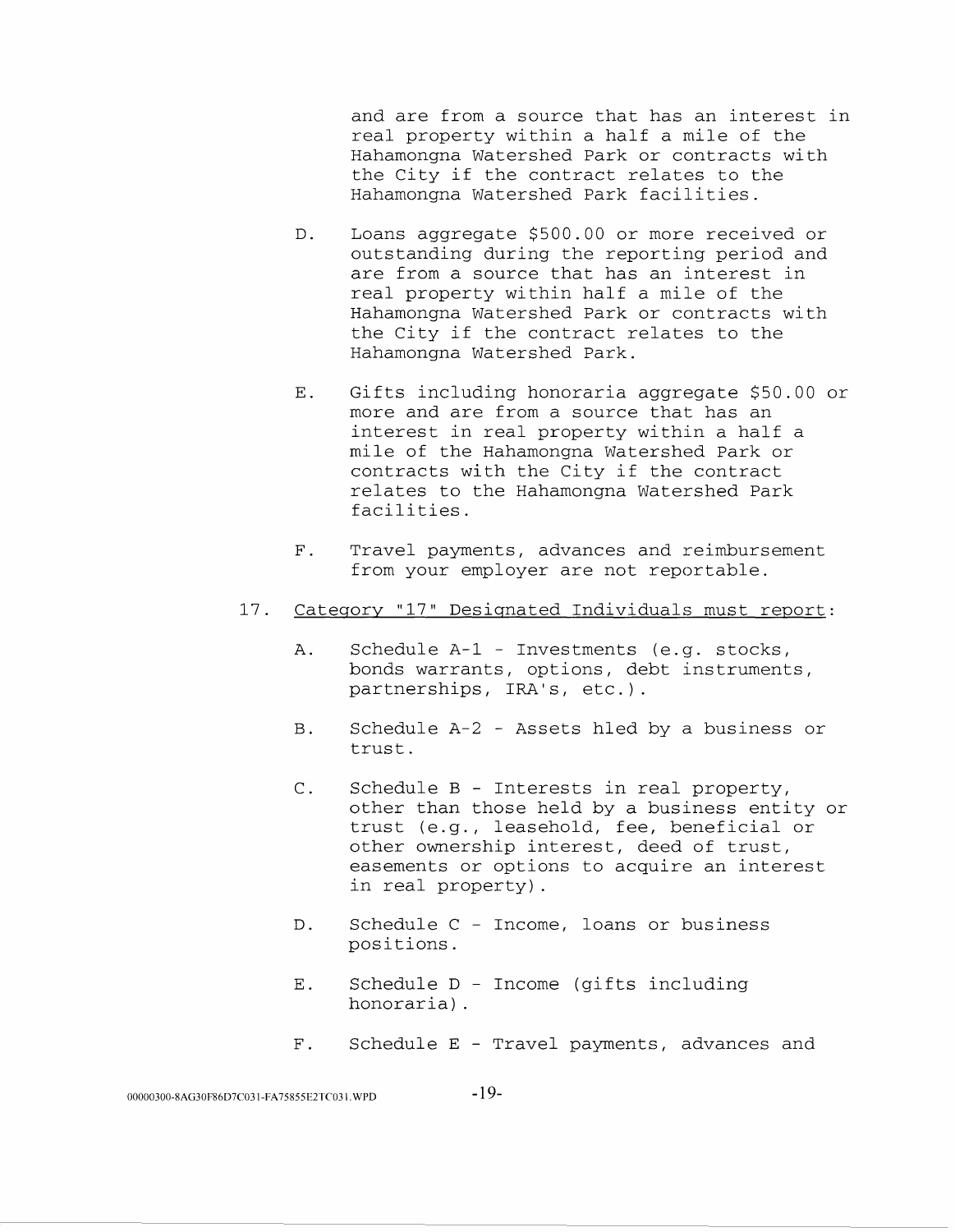and are from a source that has an interest in real property within a half a mile of the Hahamongna Watershed Park or contracts with the City if the contract relates to the Hahamongna Watershed Park facilities.

- D. Loans aggregate \$500.00 or more received or outstanding during the reporting period and are from a source that has an interest in real property within half a mile of the Hahamongna Watershed Park or contracts with the City if the contract relates to the Hahamongna Watershed Park.
- E. Gifts including honoraria aggregate \$50.00 or more and are from a source that has an interest in real property within a half a mile of the Hahamongna Watershed Park or contracts with the City if the contract relates to the Hahamongna Watershed Park facilities.
- F. Travel payments, advances and reimbursement from your employer are not reportable.
- 17. Category "17" Designated Individuals must report:
	- A. Schedule A-1 Investments (e.g. stocks, bonds warrants, options, debt instruments, partnerships, IRA's, etc.).
	- B. Schedule A-2 Assets hled by a business or trust.
	- C. Schedule B Interests in real property, other than those held by a business entity or trust (e.g., leasehold, fee, beneficial or other ownership interest, deed of trust, easements or options to acquire an interest in real property) .
	- D. Schedule C Income, loans or business positions.
	- E. Schedule D Income (gifts including honoraria) .
	- F. Schedule E Travel payments, advances and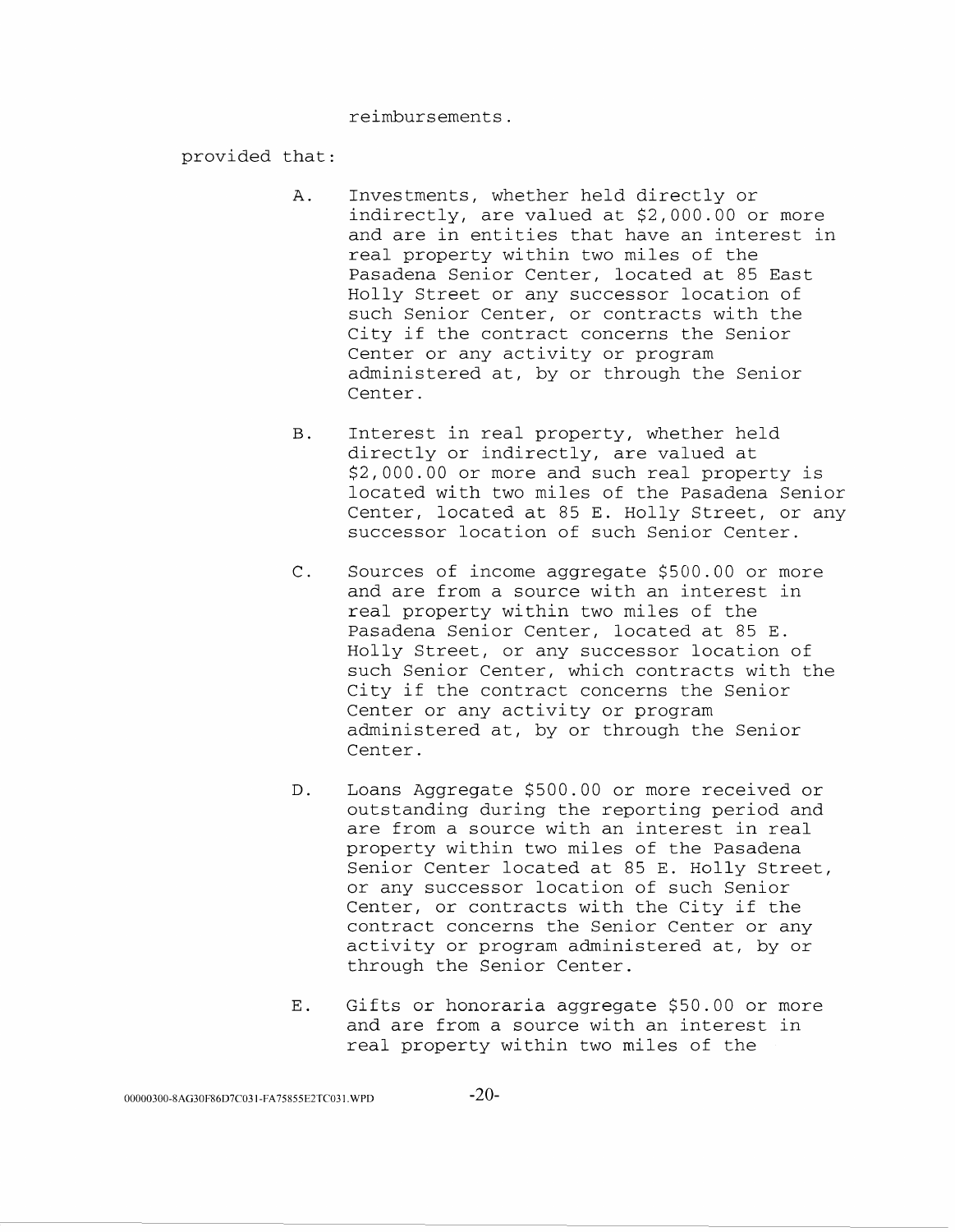reimbursements.

- A. Investments, whether held directly or indirectly, are valued at \$2,000.00 or more and are in entities that have an interest in real property within two miles of the Pasadena Senior Center, located at 85 East Holly Street or any successor location of such Senior Center, or contracts with the City if the contract concerns the Senior Center or any activity or program administered at, by or through the Senior Center.
- B. Interest in real property, whether held directly or indirectly, are valued at \$2,000.00 or more and such real property is located with two miles of the Pasadena Senior Center, located at 85 E. Holly Street, or any successor location of such Senior Center.
- C. Sources of income aggregate \$500.00 or more and are from a source with an interest in real property within two miles of the Pasadena Senior Center, located at 85 E. Holly Street, or any successor location of such Senior Center, which contracts with the City if the contract concerns the Senior Center or any activity or program administered at, by or through the Senior Center.
- D. Loans Aggregate \$500.00 or more received or outstanding during the reporting period and are from a source with an interest in real property within two miles of the Pasadena Senior Center located at 85 E. Holly Street, or any successor location of such Senior Center, or contracts with the City if the contract concerns the Senior Center or any activity or program administered at, by or through the Senior Center.
- E. Gifts or honoraria aggregate \$50.00 or more and are from a source with an interest in real property within two miles of the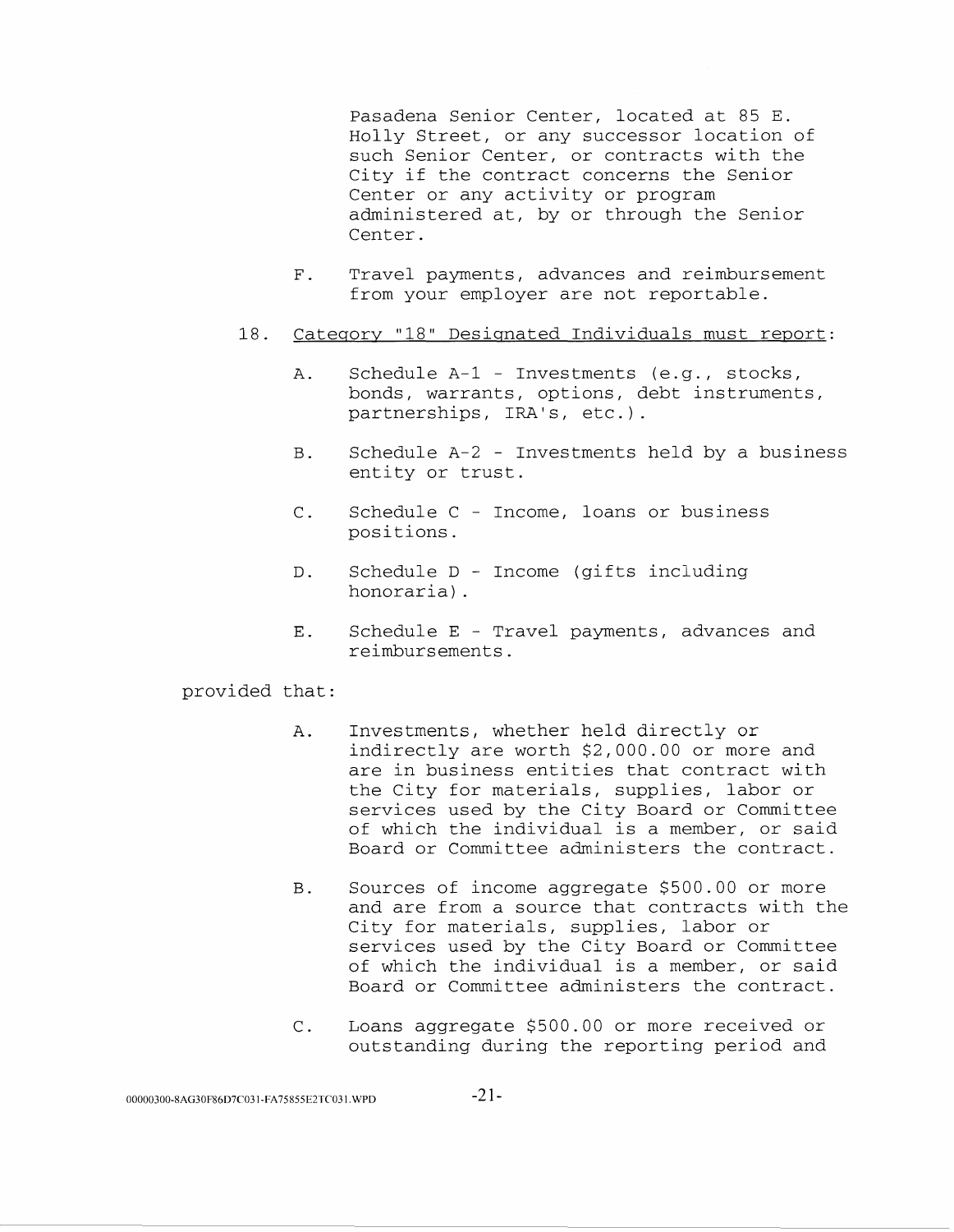Pasadena Senior Center, located at 85 E. Holly Street, or any successor location of such Senior Center, or contracts with the City if the contract concerns the Senior Center or any activity or program administered at, by or through the Senior Center.

- F. Travel payments, advances and reimbursement from your employer are not reportable.
- 18. Category "18" Designated Individuals must report:
	- A. Schedule A-1 Investments (e.g., stocks, bonds, warrants, options, debt instruments, partnerships, IRA's, etc.).
	- B. Schedule A-2 Investments held by a business entity or trust.
	- C. Schedule C Income, loans or business positions.
	- D. Schedule D Income (gifts including honoraria) .
	- E. Schedule E Travel payments, advances and reimbursements.

- A. Investments, whether held directly or indirectly are worth \$2,000.00 or more and are in business entities that contract with the City for materials, supplies, labor or services used by the City Board or Committee of which the individual is a member, or said Board or Committee administers the contract.
- B. Sources of income aggregate \$500.00 or more and are from a source that contracts with the City for materials, supplies, labor or services used by the City Board or Committee of which the individual is a member, or said Board or Committee administers the contract.
- c. Loans aggregate \$500.00 or more received or outstanding during the reporting period and